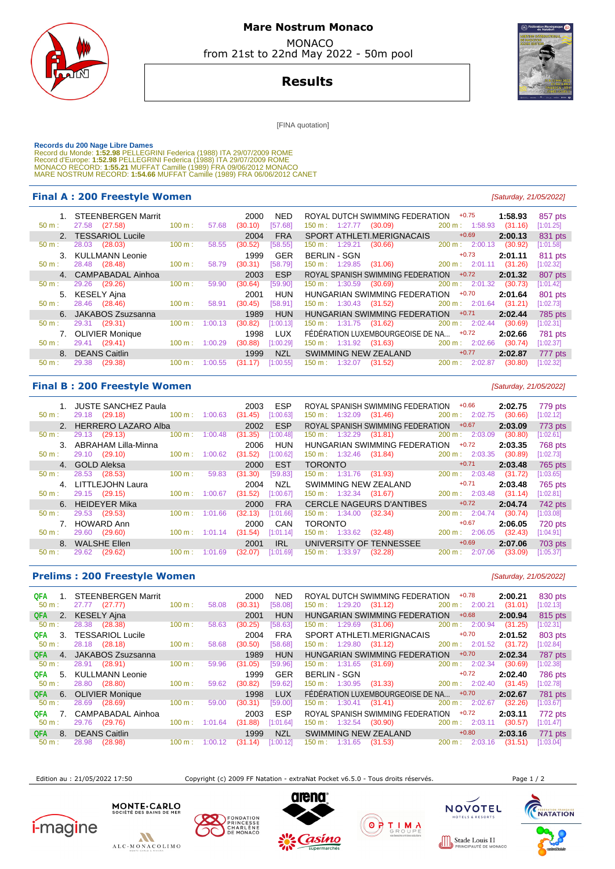

## **Mare Nostrum Monaco**  MONACO

from 21st to 22nd May 2022 - 50m pool

**Results**

[FINA quotation]

Records du 200 Nage Libre Dames<br>Record du Monde: 1:52.98 PELLEGRINI Federica (1988) ITA 29/07/2009 ROME<br>Record d'Europe: 1:52.98 PELLEGRINI Federica (1988) ITA 29/07/2009 ROME<br>Record d'Europe: 1:55.21 MUFFAT Camille (1989)

#### **Final A : 200 Freestyle Women Example 200 Freestyle Women Example 21/05/2022 [Saturday, 21/05/2022]**

| 1. STEENBERGEN Marrit                |        |         | 2000    | NED.       | ROYAL DUTCH SWIMMING FEDERATION     | $+0.75$                      | 1:58.93 | 857 pts   |
|--------------------------------------|--------|---------|---------|------------|-------------------------------------|------------------------------|---------|-----------|
| 27.58 (27.58)<br>$50 m$ :            | 100 m: | 57.68   | (30.10) | [57.68]    | 150 m: 1:27.77<br>(30.09)           | 200 m: 1:58.93               | (31.16) | [1:01.25] |
| 2. TESSARIOL Lucile                  |        |         | 2004    | <b>FRA</b> | SPORT ATHLETI MERIGNACAIS           | $+0.69$                      | 2:00.13 | 831 pts   |
| (28.03)<br>28.03<br>50 m:            | 100 m: | 58.55   | (30.52) | [58.55]    | (30.66)<br>$150 \text{ m}: 1:29.21$ | 200 m :<br>2:00.13           | (30.92) | [1:01.58] |
| 3. KULLMANN Leonie                   |        |         | 1999    | <b>GER</b> | <b>BERLIN - SGN</b>                 | $+0.73$                      | 2:01.11 | 811 pts   |
| 28.48 (28.48)<br>$50 m$ :            | 100 m: | 58.79   | (30.31) | [58.79]    | (31.06)<br>150 m : 1:29.85          | 200 m: 2:01.11               | (31.26) | [1:02.32] |
| 4. CAMPABADAL Ainhoa                 |        |         | 2003    | <b>ESP</b> | ROYAL SPANISH SWIMMING FEDERATION   | $+0.72$                      | 2:01.32 | 807 pts   |
|                                      | 100 m: |         | (30.64) | [59.90]    |                                     | $200 \text{ m}: 2:01.32$     | (30.73) | [1:01.42] |
| 29.26<br>(29.26)<br>$50 \text{ m}$ : |        | 59.90   |         |            | $150 \text{ m}: 1:30.59$<br>(30.69) |                              |         |           |
| KESELY Ajna<br>5.                    |        |         | 2001    | <b>HUN</b> | HUNGARIAN SWIMMING FEDERATION       | $+0.70$                      | 2:01.64 | 801 pts   |
| 28.46 (28.46)<br>$50 m$ :            | 100 m: | 58.91   | (30.45) | [58.91]    | $150 \text{ m}: 1:30.43$<br>(31.52) | 200 m: 2:01.64               | (31.21) | [1:02.73] |
| 6. JAKABOS Zsuzsanna                 |        |         | 1989    | <b>HUN</b> | HUNGARIAN SWIMMING FEDERATION       | $+0.71$                      | 2:02.44 | 785 pts   |
| $50 m$ :<br>29.31 (29.31)            | 100 m: | 1:00.13 | (30.82) | [1:00.13]  | 150 m: 1:31.75 (31.62)              | 200 m:<br>2:02.44            | (30.69) | [1:02.31] |
| <b>OLIVIER Monique</b>               |        |         | 1998    | <b>LUX</b> | FÉDÉRATION LUXEMBOURGEOISE DE NA    | $+0.72$                      | 2:02.66 | 781 pts   |
| (29.41)<br>29.41<br>$50 m$ :         | 100 m: | 1:00.29 | (30.88) | [1:00.29]  | $150 \text{ m}: 1:31.92$<br>(31.63) | $200 \text{ m}: 2:02.66$     | (30.74) | [1:02.37] |
| 8. DEANS Caitlin                     |        |         | 1999    | <b>NZL</b> | SWIMMING NEW ZEALAND                | $+0.77$                      | 2:02.87 | 777 pts   |
| $50 m$ :<br>29.38<br>(29.38)         | 100 m: | 1:00.55 | (31.17) | [1:00.55]  | (31.52)<br>150 m :<br>1:32.07       | $200 \text{ m}$ :<br>2:02.87 | (30.80) | [1:02.32] |

## **Final B : 200 Freestyle Women Example 200 Free Style Women Example 21/05/2022 [Saturday, 21/05/2022]**

|                  | 1. JUSTE SANCHEZ Paula |        |         | 2003    | <b>ESP</b> | ROYAL SPANISH SWIMMING FEDERATION       |        | $+0.66$                   | 2:02.75 | 779 pts   |
|------------------|------------------------|--------|---------|---------|------------|-----------------------------------------|--------|---------------------------|---------|-----------|
| $50 m$ :         | 29.18 (29.18)          | 100 m: | 1:00.63 | (31.45) | [1:00.63]  | $150 \text{ m}: 1:32.09$<br>(31.46)     | 200 m: | 2:02.75                   | (30.66) | [1:02.12] |
|                  | 2. HERRERO LAZARO Alba |        |         | 2002    | <b>ESP</b> | ROYAL SPANISH SWIMMING FEDERATION       |        | $+0.67$                   | 2:03.09 | 773 pts   |
| $50 m$ :         | 29.13 (29.13)          | 100 m: | 1:00.48 | (31.35) | [1:00.48]  | 150 m: 1:32.29<br>(31.81)               |        | 200 m: 2:03.09            | (30.80) | [1:02.61] |
|                  | 3. ABRAHAM Lilla-Minna |        |         | 2006    | <b>HUN</b> | HUNGARIAN SWIMMING FEDERATION           |        | $+0.72$                   | 2:03.35 | 768 pts   |
| $50 m$ :         | 29.10 (29.10)          | 100 m: | 1:00.62 | (31.52) | [1:00.62]  | 150 m : 1:32.46<br>(31.84)              |        | $200 \text{ m}: 2:03.35$  | (30.89) | [1:02.73] |
|                  | 4. GOLD Aleksa         |        |         | 2000    | <b>EST</b> | <b>TORONTO</b>                          |        | $+0.71$                   | 2:03.48 | 765 pts   |
| 50 m:            | 28.53 (28.53)          | 100 m: | 59.83   | (31.30) | [59.83]    | 150 m: 1:31.76<br>(31.93)               |        | 200 m: 2:03.48            | (31.72) | [1:03.65] |
| $\mathbf{4}$     | LITTLEJOHN Laura       |        |         | 2004    | <b>NZL</b> | SWIMMING NEW ZEALAND                    |        | $+0.71$                   | 2:03.48 | 765 pts   |
| $50 m$ :         | 29.15 (29.15)          | 100 m: | 1:00.67 | (31.52) | [1:00.67]  | $150 \text{ m}: 1:32.34$<br>(31.67)     |        | $200 \text{ m}: 2:03.48$  | (31.14) | [1:02.81] |
|                  | 6. HEIDEYER Mika       |        |         | 2000    | <b>FRA</b> | <b>CERCLE NAGEURS D'ANTIBES</b>         |        | $+0.72$                   | 2:04.74 | 742 pts   |
| $50 \text{ m}$ : | 29.53<br>(29.53)       | 100 m: | 1:01.66 | (32.13) | [1:01.66]  | 150 m : 1:34.00<br>(32.34)              |        | $200 \text{ m}: 2:04.74$  | (30.74) | [1:03.08] |
|                  | HOWARD Ann             |        |         | 2000    | CAN        | <b>TORONTO</b>                          |        | $+0.67$                   | 2:06.05 | 720 pts   |
| $50 m$ :         | 29.60<br>(29.60)       | 100 m: | 1:01.14 | (31.54) | [1:01.14]  | $150 \text{ m}: 1:33.62$<br>(32.48)     |        | $200 \text{ m}$ : 2:06.05 | (32.43) | [1:04.91] |
|                  | 8. WALSHE Ellen        |        |         | 2001    | <b>IRL</b> | UNIVERSITY OF TENNESSEE                 |        | $+0.69$                   | 2:07.06 | 703 pts   |
| $50 m$ :         | (29.62)<br>29.62       | 100 m: | 1:01.69 | (32.07) | [1:01.69]  | $150 \text{ m}$ :<br>(32.28)<br>1:33.97 | 200 m: | 2:07.06                   | (33.09) | [1:05.37] |

#### **Prelims : 200 Freestyle Women Exercía Exercía Exercía Exercía Exercía Exercía Elizabeth (Saturday, 21/05/2022)**

| QFA<br>$50 m$ :         | <b>STEENBERGEN Marrit</b><br>$27.77$ $(27.77)$ | 100 m:            | 58.08   | 2000<br>(30.31) | <b>NED</b><br>[58.08] | ROYAL DUTCH SWIMMING FEDERATION<br>$150 \text{ m}: 1:29.20$<br>(31.12) | $+0.78$<br>200 m: 2:00.21 | 2:00.21<br>(31.01) | 830 pts<br>[1:02.13] |
|-------------------------|------------------------------------------------|-------------------|---------|-----------------|-----------------------|------------------------------------------------------------------------|---------------------------|--------------------|----------------------|
| 2.<br><b>QFA</b>        | <b>KESELY Ajna</b>                             |                   |         | 2001            | <b>HUN</b>            | HUNGARIAN SWIMMING FEDERATION                                          | $+0.68$                   | 2:00.94            | 815 pts              |
| 50 m:                   | 28.38 (28.38)                                  | 100 m:            | 58.63   | (30.25)         | [58.63]               | 150 m: 1:29.69<br>(31.06)                                              | 200 m: 2:00.94            | (31.25)            | [1:02.31]            |
| 3.<br><b>QFA</b>        | <b>TESSARIOL Lucile</b>                        |                   |         | 2004            | <b>FRA</b>            | SPORT ATHLETI.MERIGNACAIS                                              | $+0.70$                   | 2:01.52            | 803 pts              |
| $50 m$ :                | 28.18 (28.18)                                  | 100 m:            | 58.68   | (30.50)         | [58.68]               | $150 \text{ m}: 1:29.80$<br>(31.12)                                    | $200 \text{ m}: 2:01.52$  | (31.72)            | [1:02.84]            |
| QFA<br>$\overline{4}$ . | JAKABOS Zsuzsanna                              |                   |         | 1989            | <b>HUN</b>            | HUNGARIAN SWIMMING FEDERATION                                          | $+0.70$                   | 2:02.34            | 787 pts              |
| $50 m$ :                | (28.91)<br>28.91                               | 100 m:            | 59.96   | (31.05)         | [59.96]               | $150 \text{ m}: 1:31.65$<br>(31.69)                                    | 200 m: 2:02.34            | (30.69)            | [1:02.38]            |
| 5.<br><b>QFA</b>        | <b>KULLMANN Leonie</b>                         |                   |         | 1999            | <b>GER</b>            | <b>BERLIN - SGN</b>                                                    | $+0.72$                   | 2:02.40            | <b>786 pts</b>       |
| 50 m:                   | 28.80<br>(28.80)                               | 100 m:            | 59.62   | (30.82)         | [59.62]               | $150 \text{ m}: 1:30.95$<br>(31.33)                                    | 200 m: 2:02.40            | (31.45)            | [1:02.78]            |
| <b>QFA</b><br>$-6.$     | <b>OLIVIER Monique</b>                         |                   |         | 1998            | <b>LUX</b>            | FÉDÉRATION LUXEMBOURGEOISE DE NA                                       | $+0.70$                   | 2:02.67            | 781 pts              |
| $50 m$ :                | 28.69<br>(28.69)                               | 100 m:            | 59.00   | (30.31)         | [59.00]               | 150 m: 1:30.41<br>(31.41)                                              | $200 \text{ m}$ : 2:02.67 | (32.26)            | [1:03.67]            |
| QFA                     | CAMPABADAL Ainhoa                              |                   |         | 2003            | <b>ESP</b>            | ROYAL SPANISH SWIMMING FEDERATION                                      | $+0.72$                   | 2:03.11            | 772 pts              |
| 50 m:                   | 29.76 (29.76)                                  | $100 \text{ m}$ : | 1:01.64 | (31.88)         | [1:01.64]             | $150 \text{ m}: 1:32.54$ (30.90)                                       | 200 m: 2:03.11            | (30.57)            | [1:01.47]            |
| <b>QFA</b><br>8.        | <b>DEANS Caitlin</b>                           |                   |         | 1999            | <b>NZL</b>            | SWIMMING NEW ZEALAND                                                   | $+0.80$                   | 2:03.16            | 771 pts              |
| $50 m$ :                | (28.98)<br>28.98                               | 100 m:            | 1:00.12 | (31.14)         | [1:00.12]             | 150 m :<br>1:31.65<br>(31.53)                                          | 200 m:<br>2:03.16         | (31.51)            | [1:03.04]            |
|                         |                                                |                   |         |                 |                       |                                                                        |                           |                    |                      |

Edition au : 21/05/2022 17:50 Copyright (c) 2009 FF Natation - extraNat Pocket v6.5.0 - Tous droits réservés. Page 1 / 2

 $0000$ 





MONTE . CARLO